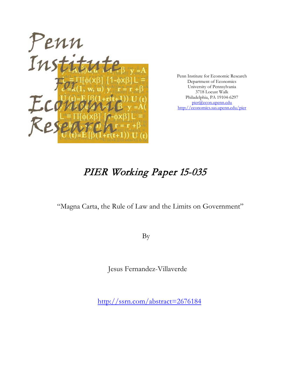

Penn Institute for Economic Research Department of Economics University of Pennsylvania 3718 Locust Walk Philadelphia, PA 19104-6297 [pier@econ.upenn.edu](mailto:pier@econ.upenn.edu) <http://economics.sas.upenn.edu/pier>

## PIER Working Paper 15-035

"Magna Carta, the Rule of Law and the Limits on Government"

By

Jesus Fernandez-Villaverde

[http://ssrn.com/abstract=](http://ssrn.com/abstract_id=)2676184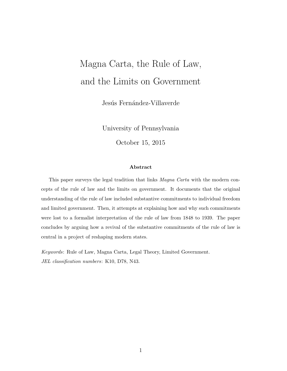# Magna Carta, the Rule of Law, and the Limits on Government

Jesús Fernández-Villaverde

University of Pennsylvania

October 15, 2015

#### Abstract

This paper surveys the legal tradition that links *Magna Carta* with the modern concepts of the rule of law and the limits on government. It documents that the original understanding of the rule of law included substantive commitments to individual freedom and limited government. Then, it attempts at explaining how and why such commitments were lost to a formalist interpretation of the rule of law from 1848 to 1939. The paper concludes by arguing how a revival of the substantive commitments of the rule of law is central in a project of reshaping modern states.

*Keywords*: Rule of Law, Magna Carta, Legal Theory, Limited Government. *JEL classification numbers*: K10, D78, N43.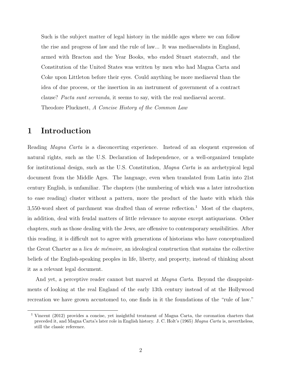Such is the subject matter of legal history in the middle ages where we can follow the rise and progress of law and the rule of law... It was mediaevalists in England, armed with Bracton and the Year Books, who ended Stuart statecraft, and the Constitution of the United States was written by men who had Magna Carta and Coke upon Littleton before their eyes. Could anything be more mediaeval than the idea of due process, or the insertion in an instrument of government of a contract clause? *Pacta sunt servanda*, it seems to say, with the real mediaeval accent. Theodore Plucknett, *A Concise History of the Common Law*

### 1 Introduction

Reading *Magna Carta* is a disconcerting experience. Instead of an eloquent expression of natural rights, such as the U.S. Declaration of Independence, or a well-organized template for institutional design, such as the U.S. Constitution, *Magna Carta* is an archetypical legal document from the Middle Ages. The language, even when translated from Latin into 21st century English, is unfamiliar. The chapters (the numbering of which was a later introduction to ease reading) cluster without a pattern, more the product of the haste with which this  $3,550$ -word sheet of parchment was drafted than of serene reflection.<sup>1</sup> Most of the chapters, in addition, deal with feudal matters of little relevance to anyone except antiquarians. Other chapters, such as those dealing with the Jews, are offensive to contemporary sensibilities. After this reading, it is difficult not to agree with generations of historians who have conceptualized the Great Charter as a *lieu de m´emoire*, an ideological construction that sustains the collective beliefs of the English-speaking peoples in life, liberty, and property, instead of thinking about it as a relevant legal document.

And yet, a perceptive reader cannot but marvel at *Magna Carta*. Beyond the disappointments of looking at the real England of the early 13th century instead of at the Hollywood recreation we have grown accustomed to, one finds in it the foundations of the "rule of law."

<sup>1</sup> Vincent (2012) provides a concise, yet insightful treatment of Magna Carta, the coronation charters that preceded it, and Magna Carta's later role in English history. J. C. Holt's (1965) *Magna Carta* is, nevertheless, still the classic reference.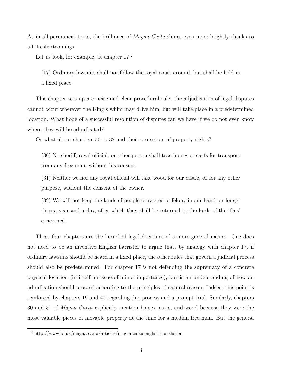As in all permanent texts, the brilliance of *Magna Carta* shines even more brightly thanks to all its shortcomings.

Let us look, for example, at chapter  $17<sup>2</sup>$ 

(17) Ordinary lawsuits shall not follow the royal court around, but shall be held in a fixed place.

This chapter sets up a concise and clear procedural rule: the adjudication of legal disputes cannot occur wherever the King's whim may drive him, but will take place in a predetermined location. What hope of a successful resolution of disputes can we have if we do not even know where they will be adjudicated?

Or what about chapters 30 to 32 and their protection of property rights?

(30) No sheriff, royal official, or other person shall take horses or carts for transport from any free man, without his consent.

(31) Neither we nor any royal official will take wood for our castle, or for any other purpose, without the consent of the owner.

(32) We will not keep the lands of people convicted of felony in our hand for longer than a year and a day, after which they shall be returned to the lords of the 'fees' concerned.

These four chapters are the kernel of legal doctrines of a more general nature. One does not need to be an inventive English barrister to argue that, by analogy with chapter 17, if ordinary lawsuits should be heard in a fixed place, the other rules that govern a judicial process should also be predetermined. For chapter 17 is not defending the supremacy of a concrete physical location (in itself an issue of minor importance), but is an understanding of how an adjudication should proceed according to the principles of natural reason. Indeed, this point is reinforced by chapters 19 and 40 regarding due process and a prompt trial. Similarly, chapters 30 and 31 of *Magna Carta* explicitly mention horses, carts, and wood because they were the most valuable pieces of movable property at the time for a median free man. But the general

<sup>2</sup> http://www.bl.uk/magna-carta/articles/magna-carta-english-translation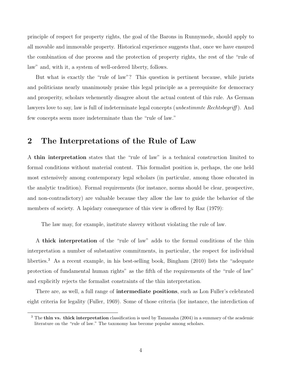principle of respect for property rights, the goal of the Barons in Runnymede, should apply to all movable and immovable property. Historical experience suggests that, once we have ensured the combination of due process and the protection of property rights, the rest of the "rule of law" and, with it, a system of well-ordered liberty, follows.

But what is exactly the "rule of law"? This question is pertinent because, while jurists and politicians nearly unanimously praise this legal principle as a prerequisite for democracy and prosperity, scholars vehemently disagree about the actual content of this rule. As German lawyers love to say, law is full of indeterminate legal concepts (*unbestimmte Rechtsbegriff*). And few concepts seem more indeterminate than the "rule of law."

### 2 The Interpretations of the Rule of Law

A thin interpretation states that the "rule of law" is a technical construction limited to formal conditions without material content. This formalist position is, perhaps, the one held most extensively among contemporary legal scholars (in particular, among those educated in the analytic tradition). Formal requirements (for instance, norms should be clear, prospective, and non-contradictory) are valuable because they allow the law to guide the behavior of the members of society. A lapidary consequence of this view is offered by Raz  $(1979)$ :

The law may, for example, institute slavery without violating the rule of law.

A thick interpretation of the "rule of law" adds to the formal conditions of the thin interpretation a number of substantive commitments, in particular, the respect for individual liberties.<sup>3</sup> As a recent example, in his best-selling book, Bingham (2010) lists the "adequate protection of fundamental human rights" as the fifth of the requirements of the "rule of law" and explicitly rejects the formalist constraints of the thin interpretation.

There are, as well, a full range of intermediate positions, such as Lon Fuller's celebrated eight criteria for legality (Fuller, 1969). Some of those criteria (for instance, the interdiction of

<sup>&</sup>lt;sup>3</sup> The **thin vs. thick interpretation** classification is used by Tamanaha (2004) in a summary of the academic literature on the "rule of law." The taxonomy has become popular among scholars.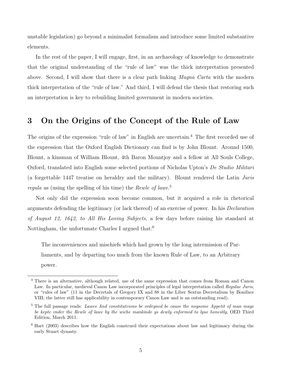unstable legislation) go beyond a minimalist formalism and introduce some limited substantive elements.

In the rest of the paper, I will engage, first, in an archaeology of knowledge to demonstrate that the original understanding of the "rule of law" was the thick interpretation presented above. Second, I will show that there is a clear path linking *Magna Carta* with the modern thick interpretation of the "rule of law." And third, I will defend the thesis that restoring such an interpretation is key to rebuilding limited government in modern societies.

### 3 On the Origins of the Concept of the Rule of Law

The origins of the expression "rule of law" in English are uncertain.<sup>4</sup> The first recorded use of the expression that the Oxford English Dictionary can find is by John Blount. Around 1500, Blount, a kinsman of William Blount, 4th Baron Mountjoy and a fellow at All Souls College, Oxford, translated into English some selected portions of Nicholas Upton's *De Studio Militari* (a forgettable 1447 treatise on heraldry and the military). Blount rendered the Latin *Juris regula* as (using the spelling of his time) the *Rewle of lawe*. 5

Not only did the expression soon become common, but it acquired a role in rhetorical arguments defending the legitimacy (or lack thereof) of an exercise of power. In his *Declaration of August 12, 1642, to All His Loving Subjects*, a few days before raising his standard at Nottingham, the unfortunate Charles I argued that:<sup>6</sup>

The inconveniences and mischiefs which had grown by the long intermission of Parliaments, and by departing too much from the known Rule of Law, to an Arbitrary power.

<sup>4</sup> There is an alternative, although related, use of the same expression that comes from Roman and Canon Law. In particular, medieval Canon Law incorporated principles of legal interpretation called *Regulae Juris*, or "rules of law" (11 in the Decretals of Gregory IX and 88 in the Liber Sextus Decretalium by Boniface VIII; the latter still has applicability in contemporary Canon Law and is an outstanding read).

<sup>5</sup> The full passage reads: *Lawes And constitutcions be ordeyned be cause the noysome Appetit of man maye be kepte vnder the Rewle of lawe by the wiche mankinde ys dewly enformed to lyue honestly*, OED Third Edition, March 2011.

<sup>6</sup> Hart (2003) describes how the English construed their expectations about law and legitimacy during the early Stuart dynasty.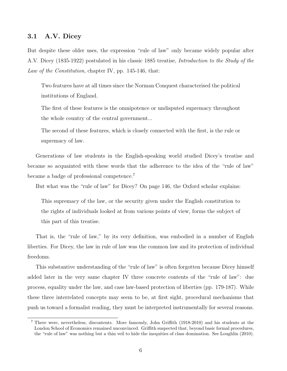#### 3.1 A.V. Dicey

But despite these older uses, the expression "rule of law" only became widely popular after A.V. Dicey (1835-1922) postulated in his classic 1885 treatise, *Introduction to the Study of the Law of the Constitution*, chapter IV, pp. 145-146, that:

Two features have at all times since the Norman Conquest characterised the political institutions of England.

The first of these features is the omnipotence or undisputed supremacy throughout the whole country of the central government...

The second of these features, which is closely connected with the first, is the rule or supremacy of law.

Generations of law students in the English-speaking world studied Dicey's treatise and became so acquainted with these words that the adherence to the idea of the "rule of law" became a badge of professional competence.<sup>7</sup>

But what was the "rule of law" for Dicey? On page 146, the Oxford scholar explains:

This supremacy of the law, or the security given under the English constitution to the rights of individuals looked at from various points of view, forms the subject of this part of this treatise.

That is, the "rule of law," by its very definition, was embodied in a number of English liberties. For Dicey, the law in rule of law was the common law and its protection of individual freedoms.

This substantive understanding of the "rule of law" is often forgotten because Dicey himself added later in the very same chapter IV three concrete contents of the "rule of law": due process, equality under the law, and case law-based protection of liberties (pp. 179-187). While these three interrelated concepts may seem to be, at first sight, procedural mechanisms that push us toward a formalist reading, they must be interpreted instrumentally for several reasons.

<sup>7</sup> There were, nevertheless, discontents. More famously, John Grith (1918-2010) and his students at the London School of Economics remained unconvinced. Griffith suspected that, beyond basic formal procedures, the "rule of law" was nothing but a thin veil to hide the inequities of class domination. See Loughlin (2010).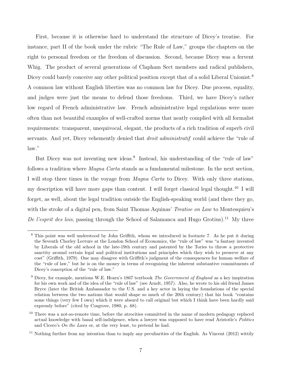First, because it is otherwise hard to understand the structure of Dicey's treatise. For instance, part II of the book under the rubric "The Rule of Law," groups the chapters on the right to personal freedom or the freedom of discussion. Second, because Dicey was a fervent Whig. The product of several generations of Clapham Sect members and radical publishers, Dicey could barely conceive any other political position except that of a solid Liberal Unionist.<sup>8</sup> A common law without English liberties was no common law for Dicey. Due process, equality, and judges were just the means to defend those freedoms. Third, we have Dicey's rather low regard of French administrative law. French administrative legal regulations were more often than not beautiful examples of well-crafted norms that neatly complied with all formalist requirements: transparent, unequivocal, elegant, the products of a rich tradition of superb civil servants. And yet, Dicey vehemently denied that *droit administratif* could achieve the "rule of law."

But Dicey was not inventing new ideas.<sup>9</sup> Instead, his understanding of the "rule of law" follows a tradition where *Magna Carta* stands as a fundamental milestone. In the next section, I will stop three times in the voyage from *Magna Carta* to Dicey. With only three stations, my description will have more gaps than content. I will forget classical legal thought.<sup>10</sup> I will forget, as well, about the legal tradition outside the English-speaking world (and there they go, with the stroke of a digital pen, from Saint Thomas Aquinas' *Treatise on Law* to Montesquieu's *De l'esprit des lois*, passing through the School of Salamanca and Hugo Grotius).<sup>11</sup> My three

<sup>&</sup>lt;sup>8</sup> This point was well understood by John Griffith, whom we introduced in footnote 7. As he put it during the Seventh Chorley Lecture at the London School of Economics, the "rule of law" was "a fantasy invented by Liberals of the old school in the late-19th century and patented by the Tories to throw a protective sanctity around certain legal and political institutions and principles which they wish to preserve at any cost" (Grith, 1979). One may disagree with Grith's judgment of the consequences for human welfare of the "rule of law," but he is on the money in terms of recognizing the inherent substantive commitments of Dicey's conception of the "rule of law."

<sup>9</sup> Dicey, for example, mentions W.E. Hearn's 1867 textbook *The Government of England* as a key inspiration for his own work and of the idea of the "rule of law" (see Arndt, 1957). Also, he wrote to his old friend James Bryce (later the British Ambassador to the U.S. and a key actor in laying the foundations of the special relation between the two nations that would shape so much of the 20th century) that his book "contains some things (very few I own) which it were absurd to call original but which I think have been hardly said expressly before" (cited by Cosgrove, 1980, p. 68).

<sup>&</sup>lt;sup>10</sup> There was a not-so-remote time, before the atrocities committed in the name of modern pedagogy replaced actual knowledge with banal self-indulgence, when a lawyer was supposed to have read Aristotle's *Politics* and Cicero's *On the Laws* or, at the very least, to pretend he had.

<sup>&</sup>lt;sup>11</sup> Nothing further from my intention than to imply any peculiarities of the English. As Vincent  $(2012)$  wittily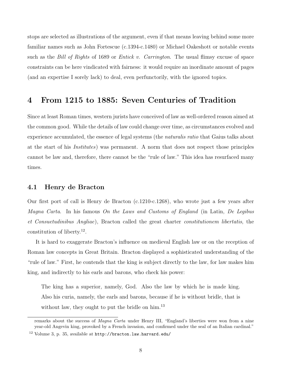stops are selected as illustrations of the argument, even if that means leaving behind some more familiar names such as John Fortescue (c.1394-c.1480) or Michael Oakeshott or notable events such as the *Bill of Rights* of 1689 or *Entick v. Carrington*. The usual flimsy excuse of space constraints can be here vindicated with fairness: it would require an inordinate amount of pages (and an expertise I sorely lack) to deal, even perfunctorily, with the ignored topics.

### 4 From 1215 to 1885: Seven Centuries of Tradition

Since at least Roman times, western jurists have conceived of law as well-ordered reason aimed at the common good. While the details of law could change over time, as circumstances evolved and experience accumulated, the essence of legal systems (the *naturalis ratio* that Gaius talks about at the start of his *Institutes*) was permanent. A norm that does not respect those principles cannot be law and, therefore, there cannot be the "rule of law." This idea has resurfaced many times.

### 4.1 Henry de Bracton

Our first port of call is Henry de Bracton (c.1210-c.1268), who wrote just a few years after *Magna Carta*. In his famous *On the Laws and Customs of England* (in Latin, *De Legibus et Consuetudinibus Angliae*), Bracton called the great charter *constitutionem libertatis*, the constitution of liberty. 12.

It is hard to exaggerate Bracton's influence on medieval English law or on the reception of Roman law concepts in Great Britain. Bracton displayed a sophisticated understanding of the "rule of law." First, he contends that the king is subject directly to the law, for law makes him king, and indirectly to his earls and barons, who check his power:

The king has a superior, namely, God. Also the law by which he is made king. Also his curia, namely, the earls and barons, because if he is without bridle, that is without law, they ought to put the bridle on  $\lim^{13}$ 

remarks about the success of *Magna Carta* under Henry III, "England's liberties were won from a nine year-old Angevin king, provoked by a French invasion, and confirmed under the seal of an Italian cardinal."

<sup>12</sup> Volume 3, p. 35, available at http://bracton.law.harvard.edu/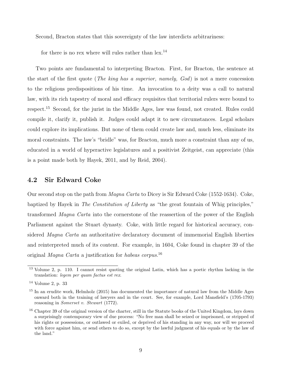Second, Bracton states that this sovereignty of the law interdicts arbitrariness:

for there is no rex where will rules rather than  $ex.^{14}$ 

Two points are fundamental to interpreting Bracton. First, for Bracton, the sentence at the start of the first quote (*The king has a superior, namely, God*) is not a mere concession to the religious predispositions of his time. An invocation to a deity was a call to natural law, with its rich tapestry of moral and efficacy requisites that territorial rulers were bound to respect.<sup>15</sup> Second, for the jurist in the Middle Ages, law was found, not created. Rules could compile it, clarify it, publish it. Judges could adapt it to new circumstances. Legal scholars could explore its implications. But none of them could create law and, much less, eliminate its moral constraints. The law's "bridle" was, for Bracton, much more a constraint than any of us, educated in a world of hyperactive legislatures and a positivist Zeitgeist, can appreciate (this is a point made both by Hayek, 2011, and by Reid, 2004).

### 4.2 Sir Edward Coke

Our second stop on the path from *Magna Carta* to Dicey is Sir Edward Coke (1552-1634). Coke, baptized by Hayek in *The Constitution of Liberty* as "the great fountain of Whig principles," transformed *Magna Carta* into the cornerstone of the reassertion of the power of the English Parliament against the Stuart dynasty. Coke, with little regard for historical accuracy, considered *Magna Carta* an authoritative declaratory document of immemorial English liberties and reinterpreted much of its content. For example, in 1604, Coke found in chapter 39 of the original *Magna Carta* a justification for *habeas corpus*. 16

<sup>13</sup> Volume 2, p. 110. I cannot resist quoting the original Latin, which has a poetic rhythm lacking in the translation: *legem per quam factus est rex*.

<sup>14</sup> Volume 2, p. 33

<sup>&</sup>lt;sup>15</sup> In an erudite work, Helmholz (2015) has documented the importance of natural law from the Middle Ages onward both in the training of lawyers and in the court. See, for example, Lord Mansfield's (1705-1793) reasoning in *Somerset v. Stewart* (1772).

<sup>&</sup>lt;sup>16</sup> Chapter 39 of the original version of the charter, still in the Statute books of the United Kingdom, lays down a surprisingly contemporary view of due process: "No free man shall be seized or imprisoned, or stripped of his rights or possessions, or outlawed or exiled, or deprived of his standing in any way, nor will we proceed with force against him, or send others to do so, except by the lawful judgment of his equals or by the law of the land."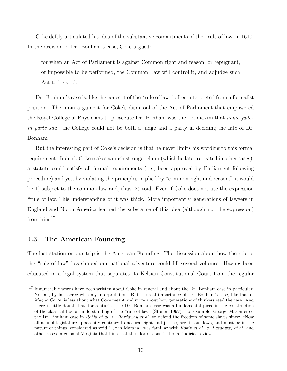Coke deftly articulated his idea of the substantive commitments of the "rule of law"in 1610. In the decision of Dr. Bonham's case, Coke argued:

for when an Act of Parliament is against Common right and reason, or repugnant, or impossible to be performed, the Common Law will control it, and adjudge such Act to be void.

Dr. Bonham's case is, like the concept of the "rule of law," often interpreted from a formalist position. The main argument for Coke's dismissal of the Act of Parliament that empowered the Royal College of Physicians to prosecute Dr. Bonham was the old maxim that *nemo judex in parte sua*: the College could not be both a judge and a party in deciding the fate of Dr. Bonham.

But the interesting part of Coke's decision is that he never limits his wording to this formal requirement. Indeed, Coke makes a much stronger claim (which he later repeated in other cases): a statute could satisfy all formal requirements (i.e., been approved by Parliament following procedure) and yet, by violating the principles implied by "common right and reason," it would be 1) subject to the common law and, thus, 2) void. Even if Coke does not use the expression "rule of law," his understanding of it was thick. More importantly, generations of lawyers in England and North America learned the substance of this idea (although not the expression) from him.<sup>17</sup>

### 4.3 The American Founding

The last station on our trip is the American Founding. The discussion about how the role of the "rule of law" has shaped our national adventure could fill several volumes. Having been educated in a legal system that separates its Kelsian Constitutional Court from the regular

<sup>&</sup>lt;sup>17</sup> Innumerable words have been written about Coke in general and about the Dr. Bonham case in particular. Not all, by far, agree with my interpretation. But the real importance of Dr. Bonham's case, like that of *Magna Carta*, is less about what Coke meant and more about how generations of thinkers read the case. And there is little doubt that, for centuries, the Dr. Bonham case was a fundamental piece in the construction of the classical liberal understanding of the "rule of law" (Stoner, 1992). For example, George Mason cited the Dr. Bonham case in *Robin et al. v. Hardaway et al.* to defend the freedom of some slaves since: "Now all acts of legislature apparently contrary to natural right and justice, are, in our laws, and must be in the nature of things, considered as void." John Marshall was familiar with *Robin et al. v. Hardaway et al.* and other cases in colonial Virginia that hinted at the idea of constitutional judicial review.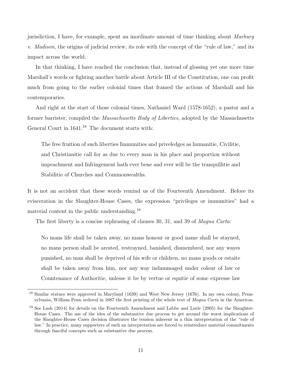jurisdiction, I have, for example, spent an inordinate amount of time thinking about *Marbury v. Madison*, the origins of judicial review, its role with the concept of the "rule of law," and its impact across the world.

In that thinking, I have reached the conclusion that, instead of glossing yet one more time Marshall's words or fighting another battle about Article III of the Constitution, one can profit much from going to the earlier colonial times that framed the actions of Marshall and his contemporaries.

And right at the start of those colonial times, Nathaniel Ward (1578-1652), a pastor and a former barrister, compiled the *Massachusetts Body of Liberties*, adopted by the Massachusetts General Court in  $1641.^{18}\,$  The document starts with:

The free fruition of such liberties Immunities and priveledges as humanitie, Civilitie, and Christianitie call for as due to every man in his place and proportion without impeachment and Infringement hath ever bene and ever will be the tranquillitie and Stabilitie of Churches and Commonwealths.

It is not an accident that these words remind us of the Fourteenth Amendment. Before its evisceration in the Slaughter-House Cases, the expression "privileges or immunities" had a material content in the public understanding.<sup>19</sup>

The first liberty is a concise rephrasing of clauses 30, 31, and 39 of *Magna Carta*:

No mans life shall be taken away, no mans honour or good name shall be stayned, no mans person shall be arested, restrayned, banished, dismembred, nor any wayes punished, no man shall be deprived of his wife or children, no mans goods or estaite shall be taken away from him, nor any way indammaged under colour of law or Countenance of Authoritie, unlesse it be by vertue or equitie of some expresse law

<sup>18</sup> Similar statues were approved in Maryland (1639) and West New Jersey (1676). In my own colony, Pennsylvania, William Penn ordered in 1687 the first printing of the whole text of *Magna Carta* in the Americas.

<sup>19</sup> See Lash (2014) for details on the Fourteenth Amendment and Labbe and Lurie (2005) for the Slaughter-House Cases. The use of the idea of the substantive due process to get around the worst implications of the Slaughter-House Cases decision illustrates the tension inherent in a thin interpretation of the "rule of law." In practice, many supporters of such an interpretation are forced to reintroduce material commitments through fanciful concepts such as substantive due process.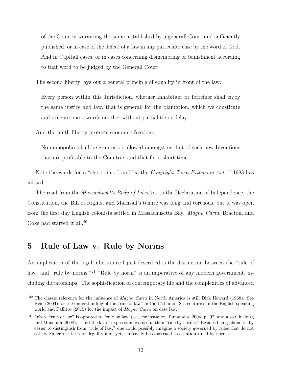of the Country waranting the same, established by a generall Court and sufficiently published, or in case of the defect of a law in any parteculer case by the word of God. And in Capitall cases, or in cases concerning dismembring or banishment according to that word to be judged by the Generall Court.

The second liberty lays out a general principle of equality in front of the law:

Every person within this Jurisdiction, whether Inhabitant or forreiner shall enjoy the same justice and law, that is generall for the plantation, which we constitute and execute one towards another without partialitie or delay.

And the ninth liberty protects economic freedom:

No monopolies shall be granted or allowed amongst us, but of such new Inventions that are profitable to the Countrie, and that for a short time.

Note the words for a "short time," an idea the *Copyright Term Extension Act* of 1988 has missed.

The road from the *Massachusetts Body of Liberties* to the Declaration of Independence, the Constitution, the Bill of Rights, and Marhsall's tenure was long and tortuous, but it was open from the first day English colonists settled in Massachusetts Bay. *Magna Carta*, Bracton, and Coke had started it all.<sup>20</sup>

### 5 Rule of Law v. Rule by Norms

An implication of the legal inheritance I just described is the distinction between the "rule of law" and "rule by norms."<sup>21</sup> "Rule by norm" is an imperative of any modern government, including dictatorships. The sophistication of contemporary life and the complexities of advanced

<sup>20</sup> The classic reference for the influence of *Magna Carta* in North America is still Dick Howard (1968). See Reid (2004) for the understanding of the "rule of law" in the 17th and 18th centuries in the English-speaking world and Pallitto (2015) for the impact of *Magna Carta* on case law.

<sup>&</sup>lt;sup>21</sup> Often, "rule of law" is opposed to "rule by law" (see, for instance, Tamanaha, 2004, p. 92, and also Ginsburg and Moustafa, 2008). I find the latter expression less useful than "rule by norms," Besides being phonetically easier to distinguish from "rule of law," one could possibly imagine a society governed by rules that do not satisfy Fuller's criteria for legality and, yet, can easily be construed as a nation ruled by norms.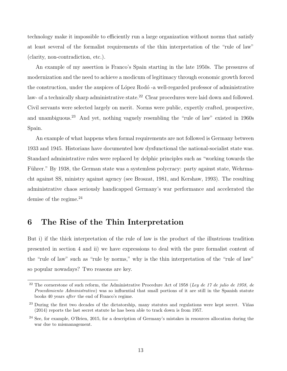technology make it impossible to efficiently run a large organization without norms that satisfy at least several of the formalist requirements of the thin interpretation of the "rule of law" (clarity, non-contradiction, etc.).

An example of my assertion is Franco's Spain starting in the late 1950s. The pressures of modernization and the need to achieve a modicum of legitimacy through economic growth forced the construction, under the auspices of López Rodó -a well-regarded professor of administrative law- of a technically sharp administrative state.<sup>22</sup> Clear procedures were laid down and followed. Civil servants were selected largely on merit. Norms were public, expertly crafted, prospective, and unambiguous.<sup>23</sup> And yet, nothing vaguely resembling the "rule of law" existed in 1960s Spain.

An example of what happens when formal requirements are not followed is Germany between 1933 and 1945. Historians have documented how dysfunctional the national-socialist state was. Standard administrative rules were replaced by delphic principles such as "working towards the Führer." By 1938, the German state was a systemless polycracy: party against state, Wehrmacht against SS, ministry against agency (see Broszat, 1981, and Kershaw, 1993). The resulting administrative chaos seriously handicapped Germany's war performance and accelerated the demise of the regime.<sup>24</sup>

### 6 The Rise of the Thin Interpretation

But i) if the thick interpretation of the rule of law is the product of the illustrious tradition presented in section 4 and ii) we have expressions to deal with the pure formalist content of the "rule of law" such as "rule by norms," why is the thin interpretation of the "rule of law" so popular nowadays? Two reasons are key.

<sup>22</sup> The cornerstone of such reform, the Administrative Procedure Act of 1958 (*Ley de 17 de julio de 1958, de Procedimiento Administrativo*) was so influential that small portions of it are still in the Spanish statute books 40 years *after* the end of Franco's regime.

<sup>&</sup>lt;sup>23</sup> During the first two decades of the dictatorship, many statutes and regulations were kept secret. Vinas (2014) reports the last secret statute he has been able to track down is from 1957.

<sup>&</sup>lt;sup>24</sup> See, for example, O'Brien, 2015, for a description of Germany's mistakes in resources allocation during the war due to mismanagement.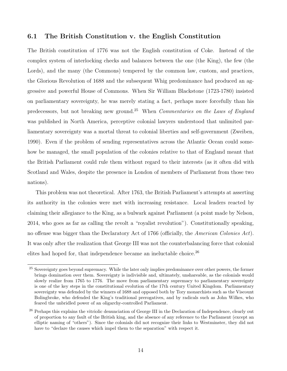#### 6.1 The British Constitution v. the English Constitution

The British constitution of 1776 was not the English constitution of Coke. Instead of the complex system of interlocking checks and balances between the one (the King), the few (the Lords), and the many (the Commons) tempered by the common law, custom, and practices, the Glorious Revolution of 1688 and the subsequent Whig predominance had produced an aggressive and powerful House of Commons. When Sir William Blackstone (1723-1780) insisted on parliamentary sovereignty, he was merely stating a fact, perhaps more forcefully than his predecessors, but not breaking new ground.<sup>25</sup> When *Commentaries on the Laws of England* was published in North America, perceptive colonial lawyers understood that unlimited parliamentary sovereignty was a mortal threat to colonial liberties and self-government (Zweiben, 1990). Even if the problem of sending representatives across the Atlantic Ocean could somehow be managed, the small population of the colonies relative to that of England meant that the British Parliament could rule them without regard to their interests (as it often did with Scotland and Wales, despite the presence in London of members of Parliament from those two nations).

This problem was not theoretical. After 1763, the British Parliament's attempts at asserting its authority in the colonies were met with increasing resistance. Local leaders reacted by claiming their allegiance to the King, as a bulwark against Parliament (a point made by Nelson, 2014, who goes as far as calling the revolt a "royalist revolution"). Constitutionally speaking, no offense was bigger than the Declaratory Act of 1766 (officially, the *American Colonies Act*). It was only after the realization that George III was not the counterbalancing force that colonial elites had hoped for, that independence became an ineluctable choice.<sup>26</sup>

<sup>&</sup>lt;sup>25</sup> Sovereignty goes beyond supremacy. While the later only implies predominance over other powers, the former brings domination over them. Sovereignty is indivisible and, ultimately, unshareable, as the colonials would slowly realize from 1765 to 1776. The move from parliamentary supremacy to parliamentary sovereignty is one of the key steps in the constitutional evolution of the 17th century United Kingdom. Parliamentary sovereignty was defended by the winners of 1688 and opposed both by Tory monarchists such as the Viscount Bolingbroke, who defended the King's traditional prerogatives, and by radicals such as John Wilkes, who feared the unbridled power of an oligarchy-controlled Parliament.

<sup>&</sup>lt;sup>26</sup> Perhaps this explains the vitriolic denunciation of George III in the Declaration of Independence, clearly out of proportion to any fault of the British king, and the absence of any reference to the Parliament (except an elliptic naming of "others"). Since the colonials did not recognize their links to Westminster, they did not have to "declare the causes which impel them to the separation" with respect it.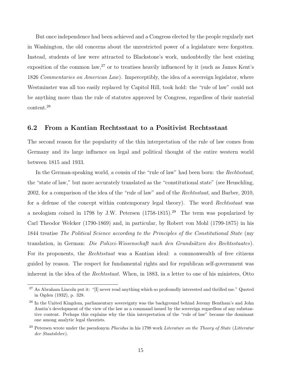But once independence had been achieved and a Congress elected by the people regularly met in Washington, the old concerns about the unrestricted power of a legislature were forgotten. Instead, students of law were attracted to Blackstone's work, undoubtedly the best existing exposition of the common law,<sup>27</sup> or to treatises heavily influenced by it (such as James Kent's 1826 *Commentaries on American Law*). Imperceptibly, the idea of a sovereign legislator, where Westminster was all too easily replaced by Capitol Hill, took hold: the "rule of law" could not be anything more than the rule of statutes approved by Congress, regardless of their material content.<sup>28</sup>

#### 6.2 From a Kantian Rechtsstaat to a Positivist Rechtsstaat

The second reason for the popularity of the thin interpretation of the rule of law comes from Germany and its large influence on legal and political thought of the entire western world between 1815 and 1933.

In the German-speaking world, a cousin of the "rule of law" had been born: the *Rechtsstaat*, the "state of law," but more accurately translated as the "constitutional state" (see Heuschling, 2002, for a comparison of the idea of the "rule of law" and of the *Rechtsstaat*, and Barber, 2010, for a defense of the concept within contemporary legal theory). The word *Rechtsstaat* was a neologism coined in 1798 by J.W. Petersen  $(1758-1815)$ .<sup>29</sup> The term was popularized by Carl Theodor Welcker (1790-1869) and, in particular, by Robert von Mohl (1799-1875) in his 1844 treatise *The Political Science according to the Principles of the Constitutional State* (my translation, in German: *Die Polizei-Wissenschaft nach den Grunds¨atzen des Rechtsstaates*). For its proponents, the *Rechtsstaat* was a Kantian ideal: a commonwealth of free citizens guided by reason. The respect for fundamental rights and for republican self-government was inherent in the idea of the *Rechtsstaat*. When, in 1883, in a letter to one of his ministers, Otto

<sup>&</sup>lt;sup>27</sup> As Abraham Lincoln put it: "[I] never read anything which so profoundly interested and thrilled me." Quoted in Ogden (1932), p. 328.

<sup>&</sup>lt;sup>28</sup> In the United Kingdom, parliamentary sovereignty was the background behind Jeremy Bentham's and John Austin's development of the view of the law as a command issued by the sovereign regardless of any substantive content. Perhaps this explains why the thin interpretation of the "rule of law" became the dominant one among analytic legal theorists.

<sup>29</sup> Petersen wrote under the pseudonym *Placidus* in his 1798 work *Literature on the Theory of State* (*Litteratur der Staatslehre*).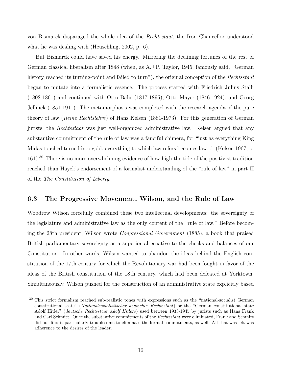von Bismarck disparaged the whole idea of the *Rechtsstaat*, the Iron Chancellor understood what he was dealing with (Heuschling, 2002, p. 6).

But Bismarck could have saved his energy. Mirroring the declining fortunes of the rest of German classical liberalism after 1848 (when, as A.J.P. Taylor, 1945, famously said, "German history reached its turning-point and failed to turn"), the original conception of the *Rechtsstaat* began to mutate into a formalistic essence. The process started with Friedrich Julius Stalh  $(1802-1861)$  and continued with Otto Bähr  $(1817-1895)$ , Otto Mayer  $(1846-1924)$ , and Georg Jellinek (1851-1911). The metamorphosis was completed with the research agenda of the pure theory of law (*Reine Rechtslehre*) of Hans Kelsen (1881-1973). For this generation of German jurists, the *Rechtsstaat* was just well-organized administrative law. Kelsen argued that any substantive commitment of the rule of law was a fanciful chimera, for "just as everything King Midas touched turned into gold, everything to which law refers becomes law..." (Kelsen 1967, p. 161).<sup>30</sup> There is no more overwhelming evidence of how high the tide of the positivist tradition reached than Hayek's endorsement of a formalist understanding of the "rule of law" in part II of the *The Constitution of Liberty*.

### 6.3 The Progressive Movement, Wilson, and the Rule of Law

Woodrow Wilson forcefully combined these two intellectual developments: the sovereignty of the legislature and administrative law as the only content of the "rule of law." Before becoming the 28th president, Wilson wrote *Congressional Government* (1885), a book that praised British parliamentary sovereignty as a superior alternative to the checks and balances of our Constitution. In other words, Wilson wanted to abandon the ideas behind the English constitution of the 17th century for which the Revolutionary war had been fought in favor of the ideas of the British constitution of the 18th century, which had been defeated at Yorktown. Simultaneously, Wilson pushed for the construction of an administrative state explicitly based

<sup>30</sup> This strict formalism reached sub-realistic tones with expressions such as the "national-socialist German constitutional state" (*Nationalsozialistischer deutscher Rechtsstaat*) or the "German constitutional state Adolf Hitler" (*deutsche Rechtsstaat Adolf Hitlers*) used between 1933-1945 by jurists such as Hans Frank and Carl Schmitt. Once the substantive commitments of the *Rechtsstaat* were eliminated, Frank and Schmitt did not find it particularly troublesome to eliminate the formal commitments, as well. All that was left was adherence to the desires of the leader.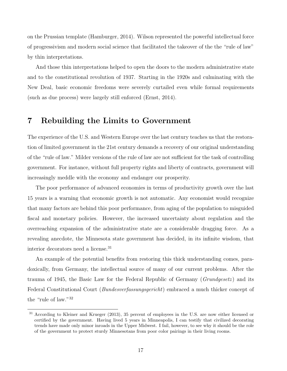on the Prussian template (Hamburger, 2014). Wilson represented the powerful intellectual force of progressivism and modern social science that facilitated the takeover of the the "rule of law" by thin interpretations.

And those thin interpretations helped to open the doors to the modern administrative state and to the constitutional revolution of 1937. Starting in the 1920s and culminating with the New Deal, basic economic freedoms were severely curtailed even while formal requirements (such as due process) were largely still enforced (Ernst, 2014).

### 7 Rebuilding the Limits to Government

The experience of the U.S. and Western Europe over the last century teaches us that the restoration of limited government in the 21st century demands a recovery of our original understanding of the "rule of law." Milder versions of the rule of law are not sufficient for the task of controlling government. For instance, without full property rights and liberty of contracts, government will increasingly meddle with the economy and endanger our prosperity.

The poor performance of advanced economies in terms of productivity growth over the last 15 years is a warning that economic growth is not automatic. Any economist would recognize that many factors are behind this poor performance, from aging of the population to misguided fiscal and monetary policies. However, the increased uncertainty about regulation and the overreaching expansion of the administrative state are a considerable dragging force. As a revealing anecdote, the Minnesota state government has decided, in its infinite wisdom, that interior decorators need a license.<sup>31</sup>

An example of the potential benefits from restoring this thick understanding comes, paradoxically, from Germany, the intellectual source of many of our current problems. After the trauma of 1945, the Basic Law for the Federal Republic of Germany (*Grundgesetz* ) and its Federal Constitutional Court (*Bundesverfassungsgericht*) embraced a much thicker concept of the "rule of law."<sup>32</sup>

<sup>&</sup>lt;sup>31</sup> According to Kleiner and Krueger (2013), 35 percent of employees in the U.S. are now either licensed or certified by the government. Having lived 5 years in Minneapolis, I can testify that civilized decorating trends have made only minor inroads in the Upper Midwest. I fail, however, to see why it should be the role of the government to protect sturdy Minnesotans from poor color pairings in their living rooms.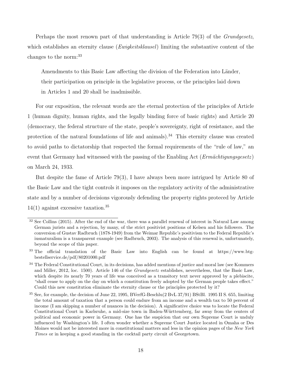Perhaps the most renown part of that understanding is Article 79(3) of the *Grundgesetz*, which establishes an eternity clause (*Ewigkeitsklausel*) limiting the substantive content of the changes to the norm:<sup>33</sup>

Amendments to this Basic Law affecting the division of the Federation into Länder, their participation on principle in the legislative process, or the principles laid down in Articles 1 and 20 shall be inadmissible.

For our exposition, the relevant words are the eternal protection of the principles of Article 1 (human dignity, human rights, and the legally binding force of basic rights) and Article 20 (democracy, the federal structure of the state, people's sovereignty, right of resistance, and the protection of the natural foundations of life and animals).<sup>34</sup> This eternity clause was created to avoid paths to dictatorship that respected the formal requirements of the "rule of law," an event that Germany had witnessed with the passing of the Enabling Act (*Ermächtigungsgesetz*) on March 24, 1933.

But despite the fame of Article 79(3), I have always been more intrigued by Article 80 of the Basic Law and the tight controls it imposes on the regulatory activity of the administrative state and by a number of decisions vigorously defending the property rights proteced by Article  $14(1)$  against excessive taxation.<sup>35</sup>

<sup>&</sup>lt;sup>32</sup> See Collins (2015). After the end of the war, there was a parallel renewal of interest in Natural Law among German jurists and a rejection, by many, of the strict positivist positions of Kelsen and his followers. The conversion of Gustav Radbruch (1878-1949) from the Weimar Republic's positivism to the Federal Republic's iusnaturalism is a transparent example (see Radbruch, 2003). The analysis of this renewal is, unfortunately, beyond the scope of this paper.

<sup>&</sup>lt;sup>33</sup> The official translation of the Basic Law into English can be found at https://www.btgbestellservice.de/pdf/80201000.pdf

<sup>&</sup>lt;sup>34</sup> The Federal Constitutional Court, in its decisions, has added mentions of justice and moral law (see Kommers and Miller, 2012, loc. 1500). Article 146 of the *Grundgesetz* establishes, nevertheless, that the Basic Law, which despite its nearly 70 years of life was conceived as a transitory text never approved by a plebiscite, "shall cease to apply on the day on which a constitution freely adopted by the German people takes effect." Could this new constitution eliminate the eternity clause or the principles protected by it?

<sup>35</sup> See, for example, the decision of June 22, 1995, BVerfG-Beschlu(2 BvL 37/91) BStBl. 1995 II S. 655, limiting the total amount of taxation that a person could endure from an income and a wealth tax to 50 percent of income (I am skipping a number of nuances in the decision). A significative choice was to locate the Federal Constitutional Court in Karlsruhe, a mid-size town in Baden-Württemberg, far away from the centers of political and economic power in Germany. One has the suspicion that our own Supreme Court is unduly influenced by Washington's life. I often wonder whether a Supreme Court Justice located in Omaha or Des Moines would not be interested more in constitutional matters and less in the opinion pages of the *New York Times* or in keeping a good standing in the cocktail party circuit of Georgetown.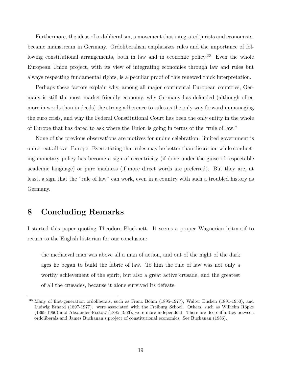Furthermore, the ideas of ordoliberalism, a movement that integrated jurists and economists, became mainstream in Germany. Ordoliberalism emphasizes rules and the importance of following constitutional arrangements, both in law and in economic policy.<sup>36</sup> Even the whole European Union project, with its view of integrating economies through law and rules but always respecting fundamental rights, is a peculiar proof of this renewed thick interpretation.

Perhaps these factors explain why, among all major continental European countries, Germany is still the most market-friendly economy, why Germany has defended (although often more in words than in deeds) the strong adherence to rules as the only way forward in managing the euro crisis, and why the Federal Constitutional Court has been the only entity in the whole of Europe that has dared to ask where the Union is going in terms of the "rule of law."

None of the previous observations are motives for undue celebration: limited government is on retreat all over Europe. Even stating that rules may be better than discretion while conducting monetary policy has become a sign of eccentricity (if done under the guise of respectable academic language) or pure madness (if more direct words are preferred). But they are, at least, a sign that the "rule of law" can work, even in a country with such a troubled history as Germany.

### 8 Concluding Remarks

I started this paper quoting Theodore Plucknett. It seems a proper Wagnerian leitmotif to return to the English historian for our conclusion:

the mediaeval man was above all a man of action, and out of the night of the dark ages he began to build the fabric of law. To him the rule of law was not only a worthy achievement of the spirit, but also a great active crusade, and the greatest of all the crusades, because it alone survived its defeats.

<sup>&</sup>lt;sup>36</sup> Many of first-generation ordoliberals, such as Franz Böhm (1895-1977), Walter Eucken (1891-1950), and Ludwig Erhard (1897-1977). were associated with the Freiburg School. Others, such as Wilhelm Röpke  $(1899-1966)$  and Alexander Röstow  $(1885-1963)$ , were more independent. There are deep affinities between ordoliberals and James Buchanan's project of constitutional economics. See Buchanan (1986).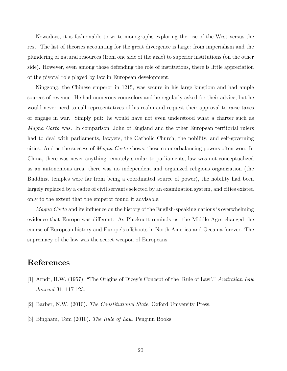Nowadays, it is fashionable to write monographs exploring the rise of the West versus the rest. The list of theories accounting for the great divergence is large: from imperialism and the plundering of natural resources (from one side of the aisle) to superior institutions (on the other side). However, even among those defending the role of institutions, there is little appreciation of the pivotal role played by law in European development.

Ningzong, the Chinese emperor in 1215, was secure in his large kingdom and had ample sources of revenue. He had numerous counselors and he regularly asked for their advice, but he would never need to call representatives of his realm and request their approval to raise taxes or engage in war. Simply put: he would have not even understood what a charter such as *Magna Carta* was. In comparison, John of England and the other European territorial rulers had to deal with parliaments, lawyers, the Catholic Church, the nobility, and self-governing cities. And as the success of *Magna Carta* shows, these counterbalancing powers often won. In China, there was never anything remotely similar to parliaments, law was not conceptualized as an autonomous area, there was no independent and organized religious organization (the Buddhist temples were far from being a coordinated source of power), the nobility had been largely replaced by a cadre of civil servants selected by an examination system, and cities existed only to the extent that the emperor found it advisable.

*Magna Carta* and its influence on the history of the English-speaking nations is overwhelming evidence that Europe was different. As Plucknett reminds us, the Middle Ages changed the course of European history and Europe's offshoots in North America and Oceania forever. The supremacy of the law was the secret weapon of Europeans.

### References

- [1] Arndt, H.W. (1957). "The Origins of Dicey's Concept of the 'Rule of Law'." *Australian Law Journal* 31, 117-123.
- [2] Barber, N.W. (2010). *The Constitutional State*. Oxford University Press.
- [3] Bingham, Tom (2010). *The Rule of Law*. Penguin Books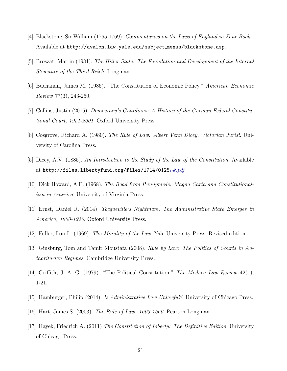- [4] Blackstone, Sir William (1765-1769). *Commentaries on the Laws of England in Four Books*. Available at http://avalon.law.yale.edu/subject menus/blackstone.asp.
- [5] Broszat, Martin (1981). *The Hitler State: The Foundation and Development of the Internal Structure of the Third Reich*. Longman.
- [6] Buchanan, James M. (1986). "The Constitution of Economic Policy." *American Economic Review* 77(3), 243-250.
- [7] Collins, Justin (2015). *Democracy's Guardians: A History of the German Federal Constitutional Court, 1951-2001*. Oxford University Press.
- [8] Cosgrove, Richard A. (1980). *The Rule of Law: Albert Venn Dicey, Victorian Jurist*. University of Carolina Press.
- [5] Dicey, A.V. (1885). *An Introduction to the Study of the Law of the Constitution*. Available at http://files.libertyfund.org/files/1714/0125<sub>B</sub>k.pdf
- [10] Dick Howard, A.E. (1968). *The Road from Runnymede: Magna Carta and Constitutionalism in America*. University of Virginia Press.
- [11] Ernst, Daniel R. (2014). *Tocqueville's Nightmare, The Administrative State Emerges in America, 1900-1940*. Oxford University Press.
- [12] Fuller, Lon L. (1969). *The Morality of the Law*. Yale University Press; Revised edition.
- [13] Ginsburg, Tom and Tamir Moustafa (2008). *Rule by Law: The Politics of Courts in Authoritarian Regimes*. Cambridge University Press.
- [14] Grith, J. A. G. (1979). "The Political Constitution." *The Modern Law Review* 42(1), 1-21.
- [15] Hamburger, Philip (2014). *Is Administrative Law Unlawful?* University of Chicago Press.
- [16] Hart, James S. (2003). *The Rule of Law: 1603-1660*. Pearson Longman.
- [17] Hayek, Friedrich A. (2011) *The Constitution of Liberty: The Definitive Edition*. University of Chicago Press.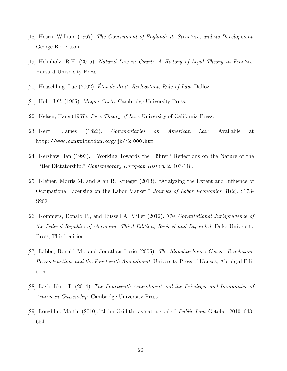- [18] Hearn, William (1867). *The Government of England: its Structure, and its Development*. George Robertson.
- [19] Helmholz, R.H. (2015). *Natural Law in Court: A History of Legal Theory in Practice*. Harvard University Press.
- [20] Heuschling, Luc (2002). *Etat ´ de droit, Rechtsstaat, Rule of Law*. Dalloz.
- [21] Holt, J.C. (1965). *Magna Carta*. Cambridge University Press.
- [22] Kelsen, Hans (1967). *Pure Theory of Law*. University of California Press.
- [23] Kent, James (1826). *Commentaries on American Law*. Available at http://www.constitution.org/jk/jk\_000.htm
- [24] Kershaw, Ian (1993). "'Working Towards the Führer.' Reflections on the Nature of the Hitler Dictatorship." *Contemporary European History* 2, 103-118.
- [25] Kleiner, Morris M. and Alan B. Krueger (2013). "Analyzing the Extent and Influence of Occupational Licensing on the Labor Market." *Journal of Labor Economics* 31(2), S173- S202.
- [26] Kommers, Donald P., and Russell A. Miller (2012). *The Constitutional Jurisprudence of the Federal Republic of Germany: Third Edition, Revised and Expanded.* Duke University Press; Third edition
- [27] Labbe, Ronald M., and Jonathan Lurie (2005). *The Slaughterhouse Cases: Regulation, Reconstruction, and the Fourteenth Amendment*. University Press of Kansas, Abridged Edition.
- [28] Lash, Kurt T. (2014). *The Fourteenth Amendment and the Privileges and Immunities of American Citizenship*. Cambridge University Press.
- [29] Loughlin, Martin (2010).'"John Grith: ave atque vale." *Public Law*, October 2010, 643- 654.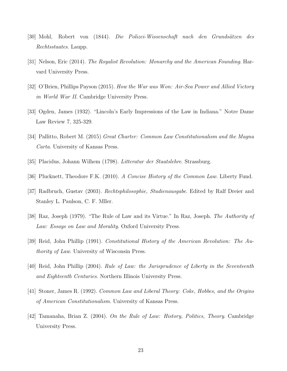- [30] Mohl, Robert von (1844). *Die Polizei-Wissenschaft nach den Grunds¨atzen des Rechtsstaates*. Laupp.
- [31] Nelson, Eric (2014). *The Royalist Revolution: Monarchy and the American Founding*. Harvard University Press.
- [32] O'Brien, Phillips Payson (2015). *How the War was Won: Air-Sea Power and Allied Victory in World War II*. Cambridge University Press.
- [33] Ogden, James (1932). "Lincoln's Early Impressions of the Law in Indiana." Notre Dame Law Review 7, 325-329.
- [34] Pallitto, Robert M. (2015) *Great Charter: Common Law Constitutionalism and the Magna Carta*. University of Kansas Press.
- [35] Placidus, Johann Wilhem (1798). *Litteratur der Staatslehre*. Strassburg.
- [36] Plucknett, Theodore F.K. (2010). *A Concise History of the Common Law.* Liberty Fund.
- [37] Radbruch, Gustav (2003). *Rechtsphilosophie, Studienausgabe*. Edited by Ralf Dreier and Stanley L. Paulson, C. F. Mller.
- [38] Raz, Joseph (1979). "The Rule of Law and its Virtue." In Raz, Joseph. *The Authority of Law: Essays on Law and Morality*. Oxford University Press.
- [39] Reid, John Phillip (1991). *Constitutional History of the American Revolution: The Authority of Law*. University of Wisconsin Press.
- [40] Reid, John Phillip (2004). *Rule of Law: the Jurisprudence of Liberty in the Seventeenth and Eighteenth Centuries*. Northern Illinois University Press.
- [41] Stoner, James R. (1992). *Common Law and Liberal Theory: Coke, Hobbes, and the Origins of American Constitutionalism*. University of Kansas Press.
- [42] Tamanaha, Brian Z. (2004). *On the Rule of Law: History, Politics, Theory*. Cambridge University Press.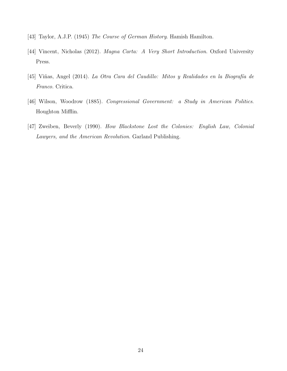- [43] Taylor, A.J.P. (1945) *The Course of German History*. Hamish Hamilton.
- [44] Vincent, Nicholas (2012). *Magna Carta: A Very Short Introduction*. Oxford University Press.
- [45] Vinas, ˜ Angel (2014). *La Otra Cara del Caudillo: Mitos y Realidades en la Biograf´ıa de Franco.* Critica.
- [46] Wilson, Woodrow (1885). *Congressional Government: a Study in American Politics*. Houghton Mifflin.
- [47] Zweiben, Beverly (1990). *How Blackstone Lost the Colonies: English Law, Colonial Lawyers, and the American Revolution*. Garland Publishing.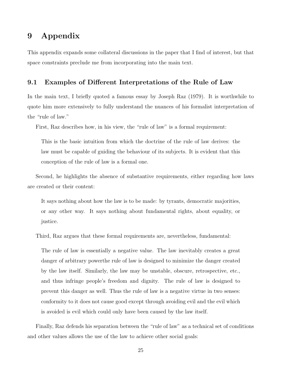### 9 Appendix

This appendix expands some collateral discussions in the paper that I find of interest, but that space constraints preclude me from incorporating into the main text.

### 9.1 Examples of Different Interpretations of the Rule of Law

In the main text, I briefly quoted a famous essay by Joseph Raz (1979). It is worthwhile to quote him more extensively to fully understand the nuances of his formalist interpretation of the "rule of law."

First, Raz describes how, in his view, the "rule of law" is a formal requirement:

This is the basic intuition from which the doctrine of the rule of law derives: the law must be capable of guiding the behaviour of its subjects. It is evident that this conception of the rule of law is a formal one.

Second, he highlights the absence of substantive requirements, either regarding how laws are created or their content:

It says nothing about how the law is to be made: by tyrants, democratic majorities, or any other way. It says nothing about fundamental rights, about equality, or justice.

Third, Raz argues that these formal requirements are, nevertheless, fundamental:

The rule of law is essentially a negative value. The law inevitably creates a great danger of arbitrary powerthe rule of law is designed to minimize the danger created by the law itself. Similarly, the law may be unstable, obscure, retrospective, etc., and thus infringe people's freedom and dignity. The rule of law is designed to prevent this danger as well. Thus the rule of law is a negative virtue in two senses: conformity to it does not cause good except through avoiding evil and the evil which is avoided is evil which could only have been caused by the law itself.

Finally, Raz defends his separation between the "rule of law" as a technical set of conditions and other values allows the use of the law to achieve other social goals: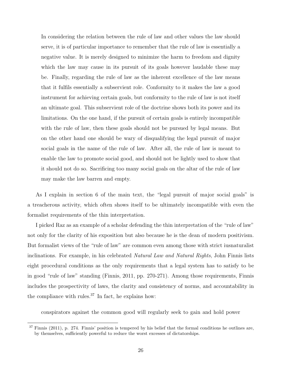In considering the relation between the rule of law and other values the law should serve, it is of particular importance to remember that the rule of law is essentially a negative value. It is merely designed to minimize the harm to freedom and dignity which the law may cause in its pursuit of its goals however laudable these may be. Finally, regarding the rule of law as the inherent excellence of the law means that it fulfils essentially a subservient role. Conformity to it makes the law a good instrument for achieving certain goals, but conformity to the rule of law is not itself an ultimate goal. This subservient role of the doctrine shows both its power and its limitations. On the one hand, if the pursuit of certain goals is entirely incompatible with the rule of law, then these goals should not be pursued by legal means. But on the other hand one should be wary of disqualifying the legal pursuit of major social goals in the name of the rule of law. After all, the rule of law is meant to enable the law to promote social good, and should not be lightly used to show that it should not do so. Sacrificing too many social goals on the altar of the rule of law may make the law barren and empty.

As I explain in section 6 of the main text, the "legal pursuit of major social goals" is a treacherous activity, which often shows itself to be ultimately incompatible with even the formalist requirements of the thin interpretation.

I picked Raz as an example of a scholar defending the thin interpretation of the "rule of law" not only for the clarity of his exposition but also because he is the dean of modern positivism. But formalist views of the "rule of law" are common even among those with strict iusnaturalist inclinations. For example, in his celebrated *Natural Law and Natural Rights*, John Finnis lists eight procedural conditions as the only requirements that a legal system has to satisfy to be in good "rule of law" standing (Finnis, 2011, pp. 270-271). Among those requirements, Finnis includes the prospectivity of laws, the clarity and consistency of norms, and accountability in the compliance with rules.<sup>37</sup> In fact, he explains how:

conspirators against the common good will regularly seek to gain and hold power

<sup>37</sup> Finnis (2011), p. 274. Finnis' position is tempered by his belief that the formal conditions he outlines are, by themselves, sufficiently powerful to reduce the worst excesses of dictatorships.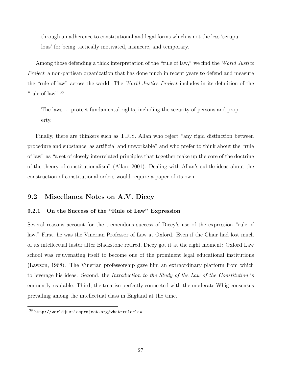through an adherence to constitutional and legal forms which is not the less 'scrupulous' for being tactically motivated, insincere, and temporary.

Among those defending a thick interpretation of the "rule of law," we find the *World Justice Project*, a non-partisan organization that has done much in recent years to defend and measure the "rule of law" across the world. The *World Justice Project* includes in its definition of the "rule of law":<sup>38</sup>

The laws ... protect fundamental rights, including the security of persons and property.

Finally, there are thinkers such as T.R.S. Allan who reject "any rigid distinction between procedure and substance, as artificial and unworkable" and who prefer to think about the "rule of law" as "a set of closely interrelated principles that together make up the core of the doctrine of the theory of constitutionalism" (Allan, 2001). Dealing with Allan's subtle ideas about the construction of constitutional orders would require a paper of its own.

### 9.2 Miscellanea Notes on A.V. Dicey

#### 9.2.1 On the Success of the "Rule of Law" Expression

Several reasons account for the tremendous success of Dicey's use of the expression "rule of law." First, he was the Vinerian Professor of Law at Oxford. Even if the Chair had lost much of its intellectual luster after Blackstone retired, Dicey got it at the right moment: Oxford Law school was rejuvenating itself to become one of the prominent legal educational institutions (Lawson, 1968). The Vinerian professorship gave him an extraordinary platform from which to leverage his ideas. Second, the *Introduction to the Study of the Law of the Constitution* is eminently readable. Third, the treatise perfectly connected with the moderate Whig consensus prevailing among the intellectual class in England at the time.

<sup>38</sup> http://worldjusticeproject.org/what-rule-law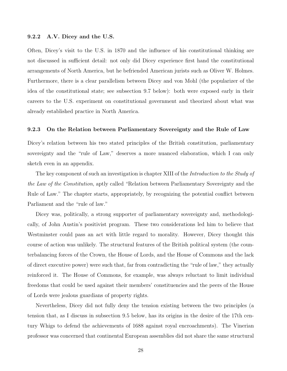#### 9.2.2 A.V. Dicey and the U.S.

Often, Dicey's visit to the U.S. in 1870 and the influence of his constitutional thinking are not discussed in sufficient detail: not only did Dicey experience first hand the constitutional arrangements of North America, but he befriended American jurists such as Oliver W. Holmes. Furthermore, there is a clear parallelism between Dicey and von Mohl (the popularizer of the idea of the constitutional state; see subsection 9.7 below): both were exposed early in their careers to the U.S. experiment on constitutional government and theorized about what was already established practice in North America.

#### 9.2.3 On the Relation between Parliamentary Sovereignty and the Rule of Law

Dicey's relation between his two stated principles of the British constitution, parliamentary sovereignty and the "rule of Law," deserves a more nuanced elaboration, which I can only sketch even in an appendix.

The key component of such an investigation is chapter XIII of the *Introduction to the Study of the Law of the Constitution*, aptly called "Relation between Parliamentary Sovereignty and the Rule of Law." The chapter starts, appropriately, by recognizing the potential conflict between Parliament and the "rule of law."

Dicey was, politically, a strong supporter of parliamentary sovereignty and, methodologically, of John Austin's positivist program. These two considerations led him to believe that Westminster could pass an act with little regard to morality. However, Dicey thought this course of action was unlikely. The structural features of the British political system (the counterbalancing forces of the Crown, the House of Lords, and the House of Commons and the lack of direct executive power) were such that, far from contradicting the "rule of law," they actually reinforced it. The House of Commons, for example, was always reluctant to limit individual freedoms that could be used against their members' constituencies and the peers of the House of Lords were jealous guardians of property rights.

Nevertheless, Dicey did not fully deny the tension existing between the two principles (a tension that, as I discuss in subsection 9.5 below, has its origins in the desire of the 17th century Whigs to defend the achievements of 1688 against royal encroachments). The Vinerian professor was concerned that continental European assemblies did not share the same structural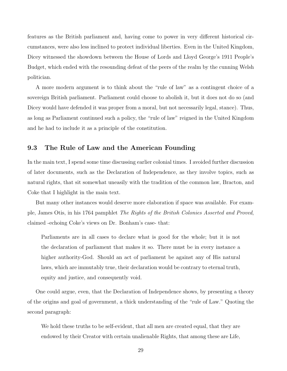features as the British parliament and, having come to power in very different historical circumstances, were also less inclined to protect individual liberties. Even in the United Kingdom, Dicey witnessed the showdown between the House of Lords and Lloyd George's 1911 People's Budget, which ended with the resounding defeat of the peers of the realm by the cunning Welsh politician.

A more modern argument is to think about the "rule of law" as a contingent choice of a sovereign British parliament. Parliament could choose to abolish it, but it does not do so (and Dicey would have defended it was proper from a moral, but not necessarily legal, stance). Thus, as long as Parliament continued such a policy, the "rule of law" reigned in the United Kingdom and he had to include it as a principle of the constitution.

### 9.3 The Rule of Law and the American Founding

In the main text, I spend some time discussing earlier colonial times. I avoided further discussion of later documents, such as the Declaration of Independence, as they involve topics, such as natural rights, that sit somewhat uneasily with the tradition of the common law, Bracton, and Coke that I highlight in the main text.

But many other instances would deserve more elaboration if space was available. For example, James Otis, in his 1764 pamphlet *The Rights of the British Colonies Asserted and Proved*, claimed -echoing Coke's views on Dr. Bonham's case- that:

Parliaments are in all cases to declare what is good for the whole; but it is not the declaration of parliament that makes it so. There must be in every instance a higher authority-God. Should an act of parliament be against any of His natural laws, which are immutably true, their declaration would be contrary to eternal truth, equity and justice, and consequently void.

One could argue, even, that the Declaration of Independence shows, by presenting a theory of the origins and goal of government, a thick understanding of the "rule of Law." Quoting the second paragraph:

We hold these truths to be self-evident, that all men are created equal, that they are endowed by their Creator with certain unalienable Rights, that among these are Life,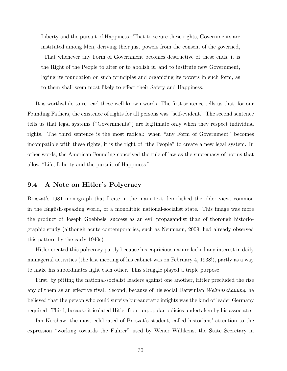Liberty and the pursuit of Happiness.–That to secure these rights, Governments are instituted among Men, deriving their just powers from the consent of the governed, –That whenever any Form of Government becomes destructive of these ends, it is the Right of the People to alter or to abolish it, and to institute new Government, laying its foundation on such principles and organizing its powers in such form, as to them shall seem most likely to effect their Safety and Happiness.

It is worthwhile to re-read these well-known words. The first sentence tells us that, for our Founding Fathers, the existence of rights for all persons was "self-evident." The second sentence tells us that legal systems ("Governments") are legitimate only when they respect individual rights. The third sentence is the most radical: when "any Form of Government" becomes incompatible with these rights, it is the right of "the People" to create a new legal system. In other words, the American Founding conceived the rule of law as the supremacy of norms that allow "Life, Liberty and the pursuit of Happiness."

#### 9.4 A Note on Hitler's Polycracy

Broszat's 1981 monograph that I cite in the main text demolished the older view, common in the English-speaking world, of a monolithic national-socialist state. This image was more the product of Joseph Goebbels' success as an evil propagandist than of thorough historiographic study (although acute contemporaries, such as Neumann, 2009, had already observed this pattern by the early 1940s).

Hitler created this polycracy partly because his capricious nature lacked any interest in daily managerial activities (the last meeting of his cabinet was on February 4, 1938!), partly as a way to make his subordinates fight each other. This struggle played a triple purpose.

First, by pitting the national-socialist leaders against one another, Hitler precluded the rise any of them as an effective rival. Second, because of his social Darwinian *Weltanschauung*, he believed that the person who could survive bureaucratic infights was the kind of leader Germany required. Third, because it isolated Hitler from unpopular policies undertaken by his associates.

Ian Kershaw, the most celebrated of Broszat's student, called historians' attention to the expression "working towards the Führer" used by Wener Willikens, the State Secretary in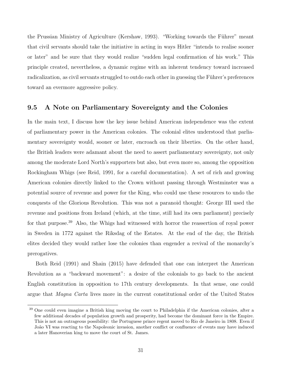the Prussian Ministry of Agriculture (Kershaw, 1993). "Working towards the Führer" meant that civil servants should take the initiative in acting in ways Hitler "intends to realise sooner or later" and be sure that they would realize "sudden legal confirmation of his work." This principle created, nevertheless, a dynamic regime with an inherent tendency toward increased radicalization, as civil servants struggled to outdo each other in guessing the Führer's preferences toward an evermore aggressive policy.

### 9.5 A Note on Parliamentary Sovereignty and the Colonies

In the main text, I discuss how the key issue behind American independence was the extent of parliamentary power in the American colonies. The colonial elites understood that parliamentary sovereignty would, sooner or later, encroach on their liberties. On the other hand, the British leaders were adamant about the need to assert parliamentary sovereignty, not only among the moderate Lord North's supporters but also, but even more so, among the opposition Rockingham Whigs (see Reid, 1991, for a careful documentation). A set of rich and growing American colonies directly linked to the Crown without passing through Westminster was a potential source of revenue and power for the King, who could use these resources to undo the conquests of the Glorious Revolution. This was not a paranoid thought: George III used the revenue and positions from Ireland (which, at the time, still had its own parliament) precisely for that purpose.<sup>39</sup> Also, the Whigs had witnessed with horror the reassertion of royal power in Sweden in 1772 against the Riksdag of the Estates. At the end of the day, the British elites decided they would rather lose the colonies than engender a revival of the monarchy's prerogatives.

Both Reid (1991) and Shain (2015) have defended that one can interpret the American Revolution as a "backward movement": a desire of the colonials to go back to the ancient English constitution in opposition to 17th century developments. In that sense, one could argue that *Magna Carta* lives more in the current constitutional order of the United States

<sup>&</sup>lt;sup>39</sup> One could even imagine a British king moving the court to Philadelphia if the American colonies, after a few additional decades of population growth and prosperity, had become the dominant force in the Empire. This is not an outrageous possibility: the Portuguese prince regent moved to Rio de Janeiro in 1808. Even if João VI was reacting to the Napoleonic invasion, another conflict or confluence of events may have induced a later Hanoverian king to move the court of St. James.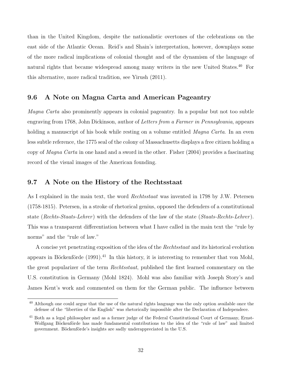than in the United Kingdom, despite the nationalistic overtones of the celebrations on the east side of the Atlantic Ocean. Reid's and Shain's interpretation, however, downplays some of the more radical implications of colonial thought and of the dynamism of the language of natural rights that became widespread among many writers in the new United States.<sup>40</sup> For this alternative, more radical tradition, see Yirush (2011).

### 9.6 A Note on Magna Carta and American Pageantry

*Magna Carta* also prominently appears in colonial pageantry. In a popular but not too subtle engraving from 1768, John Dickinson, author of *Letters from a Farmer in Pennsylvania*, appears holding a manuscript of his book while resting on a volume entitled *Magna Carta*. In an even less subtle reference, the 1775 seal of the colony of Massachusetts displays a free citizen holding a copy of *Magna Carta* in one hand and a sword in the other. Fisher (2004) provides a fascinating record of the visual images of the American founding.

### 9.7 A Note on the History of the Rechtsstaat

As I explained in the main text, the word *Rechtsstaat* was invented in 1798 by J.W. Petersen (1758-1815). Petersen, in a stroke of rhetorical genius, opposed the defenders of a constitutional state (*Rechts-Staats-Lehrer* ) with the defenders of the law of the state (*Staats-Rechts-Lehrer* ). This was a transparent differentiation between what I have called in the main text the "rule by" norms" and the "rule of law."

A concise yet penetrating exposition of the idea of the *Rechtsstaat* and its historical evolution appears in Böckenförde  $(1991).<sup>41</sup>$  In this history, it is interesting to remember that von Mohl, the great popularizer of the term *Rechtsstaat*, published the first learned commentary on the U.S. constitution in Germany (Mohl 1824). Mohl was also familiar with Joseph Story's and James Kent's work and commented on them for the German public. The influence between

<sup>&</sup>lt;sup>40</sup> Although one could argue that the use of the natural rights language was the only option available once the defense of the "liberties of the English" was rhetorically impossible after the Declaration of Independece.

<sup>&</sup>lt;sup>41</sup> Both as a legal philosopher and as a former judge of the Federal Constitutional Court of Germany, Ernst-Wolfgang Böckenförde has made fundamental contributions to the idea of the "rule of law" and limited government. Böckenförde's insights are sadly underappreciated in the U.S.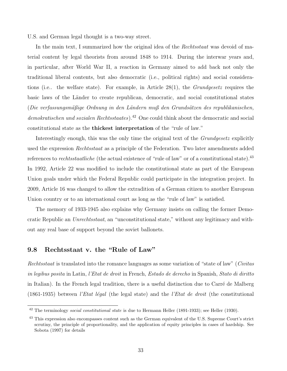U.S. and German legal thought is a two-way street.

In the main text, I summarized how the original idea of the *Rechtsstaat* was devoid of material content by legal theorists from around 1848 to 1914. During the interwar years and, in particular, after World War II, a reaction in Germany aimed to add back not only the traditional liberal contents, but also democratic (i.e., political rights) and social considerations (i.e.. the welfare state). For example, in Article 28(1), the *Grundgesetz* requires the basic laws of the Länder to create republican, democratic, and social constitutional states (*Die verfassungsm¨aßige Ordnung in den L¨andern muß den Grunds¨atzen des republikanischen, demokratischen und sozialen Rechtsstaates*).<sup>42</sup> One could think about the democratic and social constitutional state as the thickest interpretation of the "rule of law."

Interestingly enough, this was the only time the original text of the *Grundgesetz* explicitly used the expression *Rechtsstaat* as a principle of the Federation. Two later amendments added references to *rechtsstaatliche* (the actual existence of "rule of law" or of a constitutional state).<sup>43</sup> In 1992, Article 22 was modified to include the constitutional state as part of the European Union goals under which the Federal Republic could participate in the integration project. In 2009, Article 16 was changed to allow the extradition of a German citizen to another European Union country or to an international court as long as the "rule of law" is satisfied.

The memory of 1933-1945 also explains why Germany insists on calling the former Democratic Republic an *Unrechtsstaat*, an "unconstitutional state," without any legitimacy and without any real base of support beyond the soviet ballonets.

### 9.8 Rechtsstaat v. the "Rule of Law"

*Rechtsstaat* is translated into the romance languages as some variation of "state of law" (*Civitas in legibus posita* in Latin, *l'Etat de droit* in French, *Estado de derecho* in Spanish, *Stato di diritto* in Italian). In the French legal tradition, there is a useful distinction due to Carré de Malberg (1861-1935) between *l'Etat l´egal* (the legal state) and the *l'Etat de droit* (the constitutional

<sup>42</sup> The terminology *social constitutional state* is due to Hermann Heller (1891-1933); see Heller (1930).

<sup>&</sup>lt;sup>43</sup> This expression also encompasses content such as the German equivalent of the U.S. Supreme Court's strict scrutiny, the principle of proportionality, and the application of equity principles in cases of hardship. See Sobota (1997) for details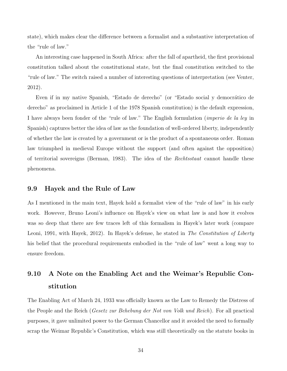state), which makes clear the difference between a formalist and a substantive interpretation of the "rule of law."

An interesting case happened in South Africa: after the fall of apartheid, the first provisional constitution talked about the constitutional state, but the final constitution switched to the "rule of law." The switch raised a number of interesting questions of interpretation (see Venter, 2012).

Even if in my native Spanish, "Estado de derecho" (or "Estado social y democrático de derecho" as proclaimed in Article 1 of the 1978 Spanish constitution) is the default expression, I have always been fonder of the "rule of law." The English formulation (*imperio de la ley* in Spanish) captures better the idea of law as the foundation of well-ordered liberty, independently of whether the law is created by a government or is the product of a spontaneous order. Roman law triumphed in medieval Europe without the support (and often against the opposition) of territorial sovereigns (Berman, 1983). The idea of the *Rechtsstaat* cannot handle these phenomena.

### 9.9 Hayek and the Rule of Law

As I mentioned in the main text, Hayek hold a formalist view of the "rule of law" in his early work. However, Bruno Leoni's influence on Hayek's view on what law is and how it evolves was so deep that there are few traces left of this formalism in Hayek's later work (compare Leoni, 1991, with Hayek, 2012). In Hayek's defense, he stated in *The Constitution of Liberty* his belief that the procedural requirements embodied in the "rule of law" went a long way to ensure freedom.

## 9.10 A Note on the Enabling Act and the Weimar's Republic Constitution

The Enabling Act of March 24, 1933 was officially known as the Law to Remedy the Distress of the People and the Reich (*Gesetz zur Behebung der Not von Volk und Reich*). For all practical purposes, it gave unlimited power to the German Chancellor and it avoided the need to formally scrap the Weimar Republic's Constitution, which was still theoretically on the statute books in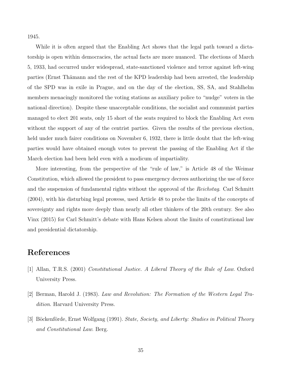1945.

While it is often argued that the Enabling Act shows that the legal path toward a dictatorship is open within democracies, the actual facts are more nuanced. The elections of March 5, 1933, had occurred under widespread, state-sanctioned violence and terror against left-wing parties (Ernst Thämann and the rest of the KPD leadership had been arrested, the leadership of the SPD was in exile in Prague, and on the day of the election, SS, SA, and Stahlhelm members menacingly monitored the voting stations as auxiliary police to "nudge" voters in the national direction). Despite these unacceptable conditions, the socialist and communist parties managed to elect 201 seats, only 15 short of the seats required to block the Enabling Act even without the support of any of the centrist parties. Given the results of the previous election, held under much fairer conditions on November 6, 1932, there is little doubt that the left-wing parties would have obtained enough votes to prevent the passing of the Enabling Act if the March election had been held even with a modicum of impartiality.

More interesting, from the perspective of the "rule of law," is Article 48 of the Weimar Constitution, which allowed the president to pass emergency decrees authorizing the use of force and the suspension of fundamental rights without the approval of the *Reichstag*. Carl Schmitt (2004), with his disturbing legal prowess, used Article 48 to probe the limits of the concepts of sovereignty and rights more deeply than nearly all other thinkers of the 20th century. See also Vinx (2015) for Carl Schmitt's debate with Hans Kelsen about the limits of constitutional law and presidential dictatorship.

### References

- [1] Allan, T.R.S. (2001) *Constitutional Justice. A Liberal Theory of the Rule of Law*. Oxford University Press.
- [2] Berman, Harold J. (1983). *Law and Revolution: The Formation of the Western Legal Tradition*. Harvard University Press.
- [3] B¨ockenf¨orde, Ernst Wolfgang (1991). *State, Society, and Liberty: Studies in Political Theory and Constitutional Law*. Berg.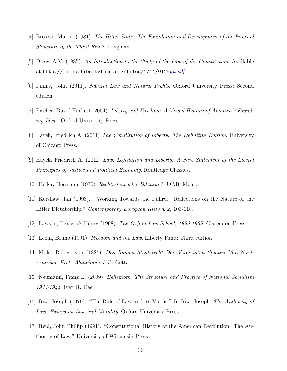- [4] Broszat, Martin (1981). *The Hitler State: The Foundation and Development of the Internal Structure of the Third Reich*. Longman.
- [5] Dicey, A.V. (1885). *An Introduction to the Study of the Law of the Constitution*. Available at http://files.libertyfund.org/files/1714/0125*Bk.pdf*
- [6] Finnis, John (2011). *Natural Law and Natural Rights*. Oxford University Press; Second edition.
- [7] Fischer, David Hackett (2004). *Liberty and Freedom: A Visual History of America's Founding Ideas*. Oxford University Press.
- [8] Hayek, Friedrich A. (2011) *The Constitution of Liberty: The Definitive Edition*. University of Chicago Press.
- [9] Hayek, Friedrich A. (2012) *Law, Legislation and Liberty: A New Statement of the Liberal Principles of Justice and Political Economy*. Routledge Classics.
- [10] Heller, Hermann (1930). *Rechtsstaat oder Diktatur?* J.C.B. Mohr.
- [11] Kershaw, Ian (1993). "'Working Towards the Führer.' Reflections on the Nature of the Hitler Dictatorship." *Contemporary European History* 2, 103-118.
- [12] Lawson, Frederick Henry (1968). *The Oxford Law School, 1850-1965*. Clarendon Press.
- [13] Leoni, Bruno (1991). *Freedom and the Law*. Liberty Fund; Third edition
- [14] Mohl, Robert von (1824). *Das Bundes-Staatsrecht Der Vereinigten Staaten Von Nord-Amerika. Erste Abtheilung.* J.G. Cotta.
- [15] Neumann, Franz L. (2009). *Behemoth. The Structure and Practice of National Socialism 1933-1944*. Ivan R. Dee.
- [16] Raz, Joseph (1979). "The Rule of Law and its Virtue." In Raz, Joseph. *The Authority of Law: Essays on Law and Morality*. Oxford University Press.
- [17] Reid, John Phillip (1991). "Constitutional History of the American Revolution: The Authority of Law." University of Wisconsin Press.